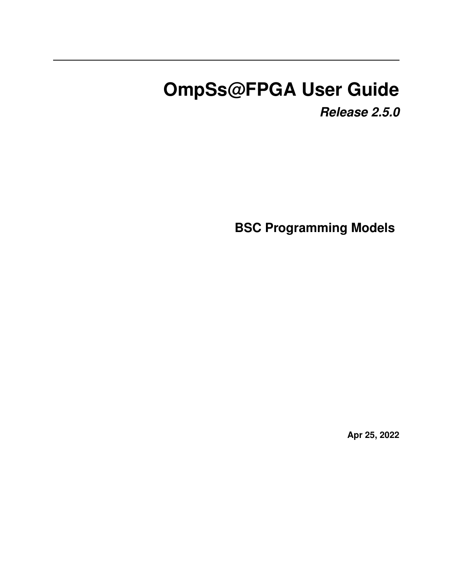# **OmpSs@FPGA User Guide**

*Release 2.5.0*

**BSC Programming Models**

**Apr 25, 2022**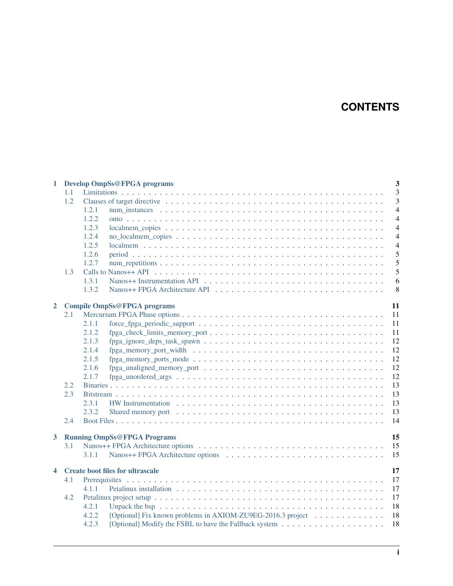# **CONTENTS**

| $\mathbf{1}$            |     | $\overline{3}$<br><b>Develop OmpSs@FPGA programs</b>                       |  |  |  |  |  |  |  |  |  |
|-------------------------|-----|----------------------------------------------------------------------------|--|--|--|--|--|--|--|--|--|
|                         | 1.1 |                                                                            |  |  |  |  |  |  |  |  |  |
|                         | 1.2 | 3                                                                          |  |  |  |  |  |  |  |  |  |
|                         |     | 1.2.1<br>$\overline{4}$                                                    |  |  |  |  |  |  |  |  |  |
|                         |     | 1.2.2<br>$\overline{4}$                                                    |  |  |  |  |  |  |  |  |  |
|                         |     | 1.2.3<br>$\overline{4}$                                                    |  |  |  |  |  |  |  |  |  |
|                         |     | $\overline{4}$<br>1.2.4                                                    |  |  |  |  |  |  |  |  |  |
|                         |     | 1.2.5<br>$\overline{4}$                                                    |  |  |  |  |  |  |  |  |  |
|                         |     | 5<br>1.2.6                                                                 |  |  |  |  |  |  |  |  |  |
|                         |     | 5<br>1.2.7                                                                 |  |  |  |  |  |  |  |  |  |
|                         | 1.3 | 5                                                                          |  |  |  |  |  |  |  |  |  |
|                         |     | 6<br>1.3.1                                                                 |  |  |  |  |  |  |  |  |  |
|                         |     | 1.3.2<br>8                                                                 |  |  |  |  |  |  |  |  |  |
| $\overline{2}$          |     | 11<br><b>Compile OmpSs@FPGA programs</b>                                   |  |  |  |  |  |  |  |  |  |
|                         | 2.1 | 11                                                                         |  |  |  |  |  |  |  |  |  |
|                         |     | 11<br>2.1.1                                                                |  |  |  |  |  |  |  |  |  |
|                         |     | 2.1.2<br>11                                                                |  |  |  |  |  |  |  |  |  |
|                         |     | 12<br>2.1.3                                                                |  |  |  |  |  |  |  |  |  |
|                         |     | 2.1.4<br>12                                                                |  |  |  |  |  |  |  |  |  |
|                         |     | 2.1.5<br>12                                                                |  |  |  |  |  |  |  |  |  |
|                         |     | 2.1.6<br>12                                                                |  |  |  |  |  |  |  |  |  |
|                         |     | 12<br>2.1.7                                                                |  |  |  |  |  |  |  |  |  |
|                         | 2.2 | 13                                                                         |  |  |  |  |  |  |  |  |  |
|                         | 2.3 | 13                                                                         |  |  |  |  |  |  |  |  |  |
|                         |     | 13<br>2.3.1                                                                |  |  |  |  |  |  |  |  |  |
|                         |     | 13<br>2.3.2                                                                |  |  |  |  |  |  |  |  |  |
|                         | 2.4 | 14                                                                         |  |  |  |  |  |  |  |  |  |
| $\mathbf{3}$            |     | 15<br><b>Running OmpSs@FPGA Programs</b>                                   |  |  |  |  |  |  |  |  |  |
|                         | 3.1 | 15                                                                         |  |  |  |  |  |  |  |  |  |
|                         |     | 15<br>3.1.1                                                                |  |  |  |  |  |  |  |  |  |
| $\overline{\mathbf{4}}$ |     | <b>Create boot files for ultrascale</b><br>17                              |  |  |  |  |  |  |  |  |  |
|                         | 4.1 | 17                                                                         |  |  |  |  |  |  |  |  |  |
|                         |     | 17<br>4.1.1                                                                |  |  |  |  |  |  |  |  |  |
|                         | 4.2 | 17                                                                         |  |  |  |  |  |  |  |  |  |
|                         |     | 18<br>4.2.1                                                                |  |  |  |  |  |  |  |  |  |
|                         |     | [Optional] Fix known problems in AXIOM-ZU9EG-2016.3 project<br>18<br>4.2.2 |  |  |  |  |  |  |  |  |  |
|                         |     | 4.2.3<br>18                                                                |  |  |  |  |  |  |  |  |  |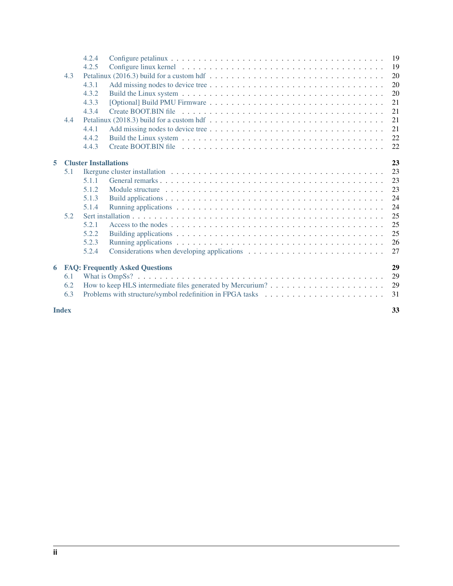|   |     | 4.2.4                                        |                                                                                                                        |          |  |  |  |  |  |  |  |  |  |
|---|-----|----------------------------------------------|------------------------------------------------------------------------------------------------------------------------|----------|--|--|--|--|--|--|--|--|--|
|   |     | 4.2.5                                        |                                                                                                                        | 19       |  |  |  |  |  |  |  |  |  |
|   | 4.3 |                                              |                                                                                                                        | 20       |  |  |  |  |  |  |  |  |  |
|   |     | 4.3.1                                        |                                                                                                                        | 20       |  |  |  |  |  |  |  |  |  |
|   |     | 4.3.2                                        |                                                                                                                        | 20       |  |  |  |  |  |  |  |  |  |
|   |     | 4.3.3                                        |                                                                                                                        | 21       |  |  |  |  |  |  |  |  |  |
|   |     | 4.3.4                                        |                                                                                                                        | 21       |  |  |  |  |  |  |  |  |  |
|   | 4.4 |                                              |                                                                                                                        | 21       |  |  |  |  |  |  |  |  |  |
|   |     | 4.4.1                                        |                                                                                                                        | 21       |  |  |  |  |  |  |  |  |  |
|   |     | 4.4.2                                        |                                                                                                                        | 22       |  |  |  |  |  |  |  |  |  |
|   |     | 4.4.3                                        | Create BOOT.BIN file $\dots \dots \dots \dots \dots \dots \dots \dots \dots \dots \dots \dots \dots \dots \dots \dots$ | 22       |  |  |  |  |  |  |  |  |  |
|   |     |                                              |                                                                                                                        |          |  |  |  |  |  |  |  |  |  |
| 5 |     | <b>Cluster Installations</b>                 |                                                                                                                        | 23<br>23 |  |  |  |  |  |  |  |  |  |
|   | 5.1 |                                              |                                                                                                                        |          |  |  |  |  |  |  |  |  |  |
|   |     | 5.1.1                                        |                                                                                                                        | 23       |  |  |  |  |  |  |  |  |  |
|   |     | 5.1.2                                        |                                                                                                                        | 23       |  |  |  |  |  |  |  |  |  |
|   |     | 5.1.3                                        |                                                                                                                        | 24       |  |  |  |  |  |  |  |  |  |
|   |     | 5.1.4                                        |                                                                                                                        | 24       |  |  |  |  |  |  |  |  |  |
|   | 5.2 |                                              |                                                                                                                        | 25       |  |  |  |  |  |  |  |  |  |
|   |     | 5.2.1                                        |                                                                                                                        | 25       |  |  |  |  |  |  |  |  |  |
|   |     | 5.2.2                                        |                                                                                                                        | 25       |  |  |  |  |  |  |  |  |  |
|   |     | 5.2.3                                        |                                                                                                                        | 26       |  |  |  |  |  |  |  |  |  |
|   |     | 5.2.4                                        |                                                                                                                        | 27       |  |  |  |  |  |  |  |  |  |
| 6 |     | 29<br><b>FAQ: Frequently Asked Questions</b> |                                                                                                                        |          |  |  |  |  |  |  |  |  |  |
|   | 6.1 |                                              |                                                                                                                        | 29       |  |  |  |  |  |  |  |  |  |
|   | 6.2 |                                              |                                                                                                                        | 29       |  |  |  |  |  |  |  |  |  |
|   | 6.3 |                                              |                                                                                                                        | 31       |  |  |  |  |  |  |  |  |  |
|   |     |                                              |                                                                                                                        |          |  |  |  |  |  |  |  |  |  |

**[Index](#page-36-0)** 33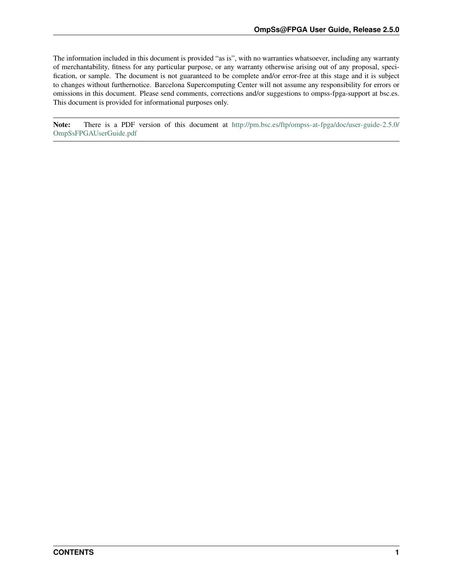<span id="page-4-0"></span>The information included in this document is provided "as is", with no warranties whatsoever, including any warranty of merchantability, fitness for any particular purpose, or any warranty otherwise arising out of any proposal, specification, or sample. The document is not guaranteed to be complete and/or error-free at this stage and it is subject to changes without furthernotice. Barcelona Supercomputing Center will not assume any responsibility for errors or omissions in this document. Please send comments, corrections and/or suggestions to ompss-fpga-support at bsc.es. This document is provided for informational purposes only.

Note: There is a PDF version of this document at [http://pm.bsc.es/ftp/ompss-at-fpga/doc/user-guide-2.5.0/](http://pm.bsc.es/ftp/ompss-at-fpga/doc/user-guide-2.5.0/OmpSsFPGAUserGuide.pdf) [OmpSsFPGAUserGuide.pdf](http://pm.bsc.es/ftp/ompss-at-fpga/doc/user-guide-2.5.0/OmpSsFPGAUserGuide.pdf)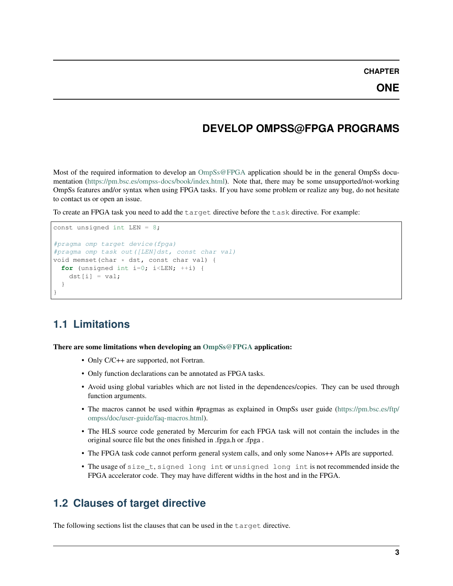**CHAPTER**

# **DEVELOP OMPSS@FPGA PROGRAMS**

<span id="page-6-0"></span>Most of the required information to develop an [OmpSs@FPGA](mailto:OmpSs@FPGA) application should be in the general OmpSs documentation [\(https://pm.bsc.es/ompss-docs/book/index.html\)](https://pm.bsc.es/ompss-docs/book/index.html). Note that, there may be some unsupported/not-working OmpSs features and/or syntax when using FPGA tasks. If you have some problem or realize any bug, do not hesitate to contact us or open an issue.

To create an FPGA task you need to add the target directive before the task directive. For example:

```
const unsigned int LEN = 8;
#pragma omp target device(fpga)
#pragma omp task out([LEN]dst, const char val)
void memset(char * dst, const char val) {
  for (unsigned int i=0; i < LEN; ++i) {
    dst[i] = val;}
}
```
# <span id="page-6-1"></span>**1.1 Limitations**

There are some limitations when developing an [OmpSs@FPGA](mailto:OmpSs@FPGA) application:

- Only C/C++ are supported, not Fortran.
- Only function declarations can be annotated as FPGA tasks.
- Avoid using global variables which are not listed in the dependences/copies. They can be used through function arguments.
- The macros cannot be used within #pragmas as explained in OmpSs user guide [\(https://pm.bsc.es/ftp/](https://pm.bsc.es/ftp/ompss/doc/user-guide/faq-macros.html) [ompss/doc/user-guide/faq-macros.html\)](https://pm.bsc.es/ftp/ompss/doc/user-guide/faq-macros.html).
- The HLS source code generated by Mercurim for each FPGA task will not contain the includes in the original source file but the ones finished in .fpga.h or .fpga .
- The FPGA task code cannot perform general system calls, and only some Nanos + APIs are supported.
- The usage of size\_t, signed long int or unsigned long int is not recommended inside the FPGA accelerator code. They may have different widths in the host and in the FPGA.

# <span id="page-6-2"></span>**1.2 Clauses of target directive**

The following sections list the clauses that can be used in the target directive.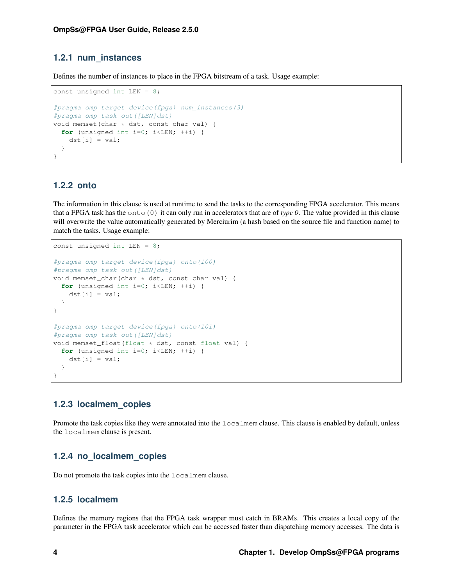### <span id="page-7-0"></span>**1.2.1 num\_instances**

Defines the number of instances to place in the FPGA bitstream of a task. Usage example:

```
const unsigned int LEN = 8;
#pragma omp target device(fpga) num_instances(3)
#pragma omp task out([LEN]dst)
void memset(char * dst, const char val) {
  for (unsigned int i=0; i < LEN; ++i) {
    dst[i] = val;}
}
```
### <span id="page-7-1"></span>**1.2.2 onto**

The information in this clause is used at runtime to send the tasks to the corresponding FPGA accelerator. This means that a FPGA task has the onto(0) it can only run in accelerators that are of *type 0*. The value provided in this clause will overwrite the value automatically generated by Merciurim (a hash based on the source file and function name) to match the tasks. Usage example:

```
const unsigned int LEN = 8;
#pragma omp target device(fpga) onto(100)
#pragma omp task out([LEN]dst)
void memset_char(char * dst, const char val) {
  for (unsigned int i=0; i < LEN; ++i) {
    dst[i] = val;}
}
#pragma omp target device(fpga) onto(101)
#pragma omp task out([LEN]dst)
void memset_float(float * dst, const float val) {
  for (unsigned int i=0; i < LEN; ++i) {
    dst[i] = val;}
}
```
### <span id="page-7-2"></span>**1.2.3 localmem\_copies**

Promote the task copies like they were annotated into the  $localmem clause$ . This clause is enabled by default, unless the localmem clause is present.

### <span id="page-7-3"></span>**1.2.4 no\_localmem\_copies**

Do not promote the task copies into the localmem clause.

### <span id="page-7-4"></span>**1.2.5 localmem**

Defines the memory regions that the FPGA task wrapper must catch in BRAMs. This creates a local copy of the parameter in the FPGA task accelerator which can be accessed faster than dispatching memory accesses. The data is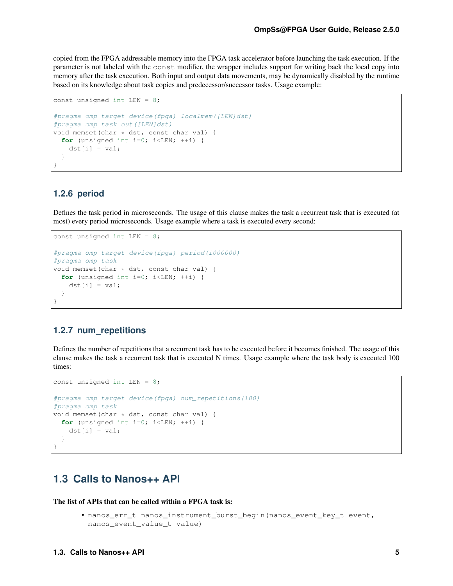copied from the FPGA addressable memory into the FPGA task accelerator before launching the task execution. If the parameter is not labeled with the const modifier, the wrapper includes support for writing back the local copy into memory after the task execution. Both input and output data movements, may be dynamically disabled by the runtime based on its knowledge about task copies and predecessor/successor tasks. Usage example:

```
const unsigned int LEN = 8;
#pragma omp target device(fpga) localmem([LEN]dst)
#pragma omp task out([LEN]dst)
void memset(char * dst, const char val) {
  for (unsigned int i=0; i < LEN; ++i) {
   dst[i] = val;}
}
```
### <span id="page-8-0"></span>**1.2.6 period**

Defines the task period in microseconds. The usage of this clause makes the task a recurrent task that is executed (at most) every period microseconds. Usage example where a task is executed every second:

```
const unsigned int LEN = 8;
#pragma omp target device(fpga) period(1000000)
#pragma omp task
void memset(char * dst, const char val) {
 for (unsigned int i=0; i<LEN; +i) {
   dst[i] = val;}
}
```
### <span id="page-8-1"></span>**1.2.7 num\_repetitions**

Defines the number of repetitions that a recurrent task has to be executed before it becomes finished. The usage of this clause makes the task a recurrent task that is executed N times. Usage example where the task body is executed 100 times:

```
const unsigned int LEN = 8;
#pragma omp target device(fpga) num_repetitions(100)
#pragma omp task
void memset (char * dst, const char val) {
 for (unsigned int i=0; i <LEN; ++i) {
   dst[i] = val;}
}
```
# <span id="page-8-2"></span>**1.3 Calls to Nanos++ API**

The list of APIs that can be called within a FPGA task is:

• nanos\_err\_t nanos\_instrument\_burst\_begin(nanos\_event\_key\_t event, nanos\_event\_value\_t value)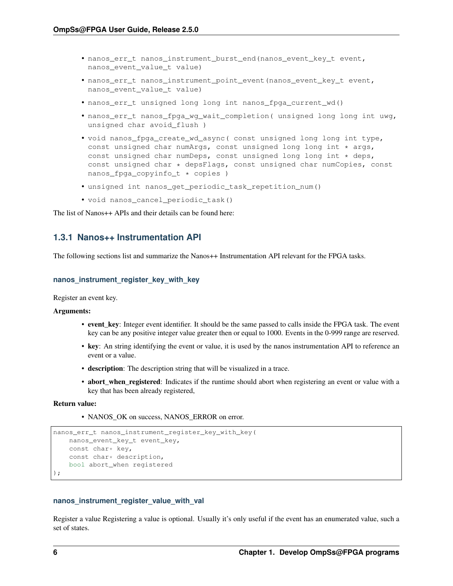- <span id="page-9-1"></span>• nanos err t nanos instrument burst end(nanos event key t event, nanos event value t value)
- nanos\_err\_t nanos\_instrument\_point\_event(nanos\_event\_key\_t event, nanos\_event\_value\_t value)
- nanos err t unsigned long long int nanos fpga current wd()
- nanos\_err\_t nanos\_fpga\_wg\_wait\_completion( unsigned long long int uwg, unsigned char avoid\_flush )
- void nanos\_fpga\_create\_wd\_async( const unsigned long long int type, const unsigned char numArgs, const unsigned long long int \* args, const unsigned char numDeps, const unsigned long long int  $\star$  deps, const unsigned char  $\star$  depsFlags, const unsigned char numCopies, const nanos\_fpga\_copyinfo\_t \* copies )
- unsigned int nanos\_get\_periodic\_task\_repetition\_num()
- void nanos\_cancel\_periodic\_task()

The list of Nanos++ APIs and their details can be found here:

### <span id="page-9-0"></span>**1.3.1 Nanos++ Instrumentation API**

The following sections list and summarize the Nanos++ Instrumentation API relevant for the FPGA tasks.

#### **nanos\_instrument\_register\_key\_with\_key**

Register an event key.

#### Arguments:

- event\_key: Integer event identifier. It should be the same passed to calls inside the FPGA task. The event key can be any positive integer value greater then or equal to 1000. Events in the 0-999 range are reserved.
- key: An string identifying the event or value, it is used by the nanos instrumentation API to reference an event or a value.
- description: The description string that will be visualized in a trace.
- abort\_when\_registered: Indicates if the runtime should abort when registering an event or value with a key that has been already registered,

#### Return value:

• NANOS OK on success, NANOS ERROR on error.

```
nanos_err_t nanos_instrument_register_key_with_key(
   nanos_event_key_t event_key,
   const char* key,
    const char* description,
   bool abort_when registered
);
```
#### **nanos\_instrument\_register\_value\_with\_val**

Register a value Registering a value is optional. Usually it's only useful if the event has an enumerated value, such a set of states.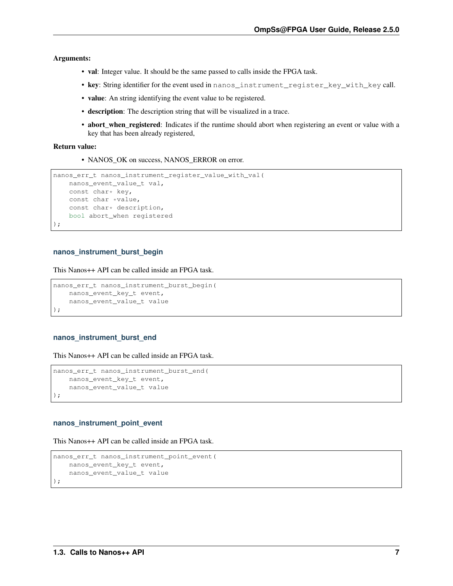Arguments:

- val: Integer value. It should be the same passed to calls inside the FPGA task.
- key: String identifier for the event used in nanos\_instrument\_register\_key\_with\_key call.
- value: An string identifying the event value to be registered.
- description: The description string that will be visualized in a trace.
- abort\_when\_registered: Indicates if the runtime should abort when registering an event or value with a key that has been already registered,

#### Return value:

• NANOS\_OK on success, NANOS\_ERROR on error.

```
nanos_err_t nanos_instrument_register_value_with_val(
   nanos_event_value_t val,
   const char* key,
   const char *value,
    const char* description,
   bool abort_when registered
);
```
#### **nanos\_instrument\_burst\_begin**

This Nanos++ API can be called inside an FPGA task.

```
nanos_err_t nanos_instrument_burst_begin(
   nanos_event_key_t event,
   nanos_event_value_t value
);
```
#### **nanos\_instrument\_burst\_end**

This Nanos++ API can be called inside an FPGA task.

```
nanos_err_t nanos_instrument_burst_end(
   nanos_event_key_t event,
   nanos_event_value_t value
);
```
#### **nanos\_instrument\_point\_event**

This Nanos++ API can be called inside an FPGA task.

```
nanos_err_t nanos_instrument_point_event(
   nanos_event_key_t event,
   nanos_event_value_t value
);
```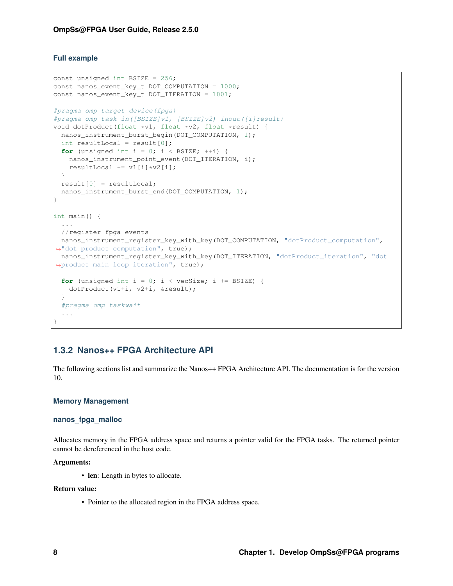#### **Full example**

```
const unsigned int BSIZE = 256;
const nanos_event_key_t DOT_COMPUTATION = 1000;
const nanos_event_key_t DOT_ITERATION = 1001;
#pragma omp target device(fpga)
#pragma omp task in([BSIZE]v1, [BSIZE]v2) inout([1]result)
void dotProduct(float *v1, float *v2, float *result) {
 nanos_instrument_burst_begin(DOT_COMPUTATION, 1);
 int resultLocal = result[0];
 for (unsigned int i = 0; i < BSIZE; ++i) {
   nanos_instrument_point_event(DOT_ITERATION, i);
   resultLocal += v1[i] *v2[i];}
 result[0] = resultLocal;
 nanos_instrument_burst_end(DOT_COMPUTATION, 1);
}
int main() {
 ...
 //register fpga events
nanos_instrument_register_key_with_key(DOT_COMPUTATION, "dotProduct_computation",
˓→"dot product computation", true);
nanos_instrument_register_key_with_key(DOT_ITERATION, "dotProduct_iteration", "dot_
˓→product main loop iteration", true);
 for (unsigned int i = 0; i < vecSize; i += BSIZE) {
   dotProduct(v1+i, v2+i, &result);
  }
  #pragma omp taskwait
  ...
}
```
### <span id="page-11-0"></span>**1.3.2 Nanos++ FPGA Architecture API**

The following sections list and summarize the Nanos++ FPGA Architecture API. The documentation is for the version 10.

#### **Memory Management**

#### **nanos\_fpga\_malloc**

Allocates memory in the FPGA address space and returns a pointer valid for the FPGA tasks. The returned pointer cannot be dereferenced in the host code.

#### Arguments:

• len: Length in bytes to allocate.

#### Return value:

• Pointer to the allocated region in the FPGA address space.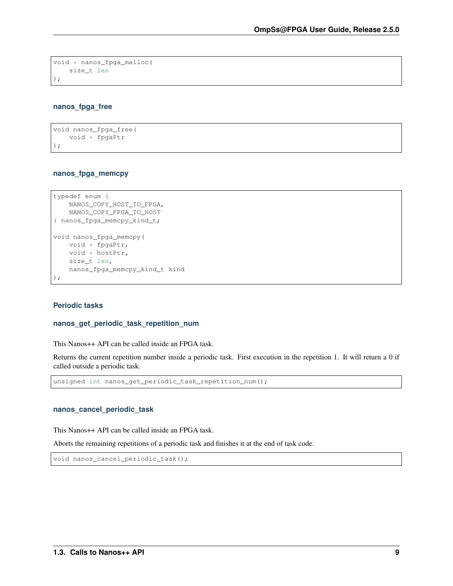```
void * nanos_fpga_malloc(
   size_t len
);
```
#### **nanos\_fpga\_free**

```
void nanos_fpga_free(
   void * fpgaPtr
);
```
#### **nanos\_fpga\_memcpy**

```
typedef enum {
   NANOS_COPY_HOST_TO_FPGA,
   NANOS_COPY_FPGA_TO_HOST
} nanos_fpga_memcpy_kind_t;
void nanos_fpga_memcpy(
   void * fpgaPtr,
   void * hostPtr,
   size_t len,
   nanos_fpga_memcpy_kind_t kind
);
```
#### **Periodic tasks**

#### **nanos\_get\_periodic\_task\_repetition\_num**

This Nanos++ API can be called inside an FPGA task.

Returns the current repetition number inside a periodic task. First execution in the repetition 1. It will return a 0 if called outside a periodic task.

unsigned int nanos\_get\_periodic\_task\_repetition\_num();

#### **nanos\_cancel\_periodic\_task**

This Nanos++ API can be called inside an FPGA task.

Aborts the remaining repetitions of a periodic task and finishes it at the end of task code.

void nanos\_cancel\_periodic\_task();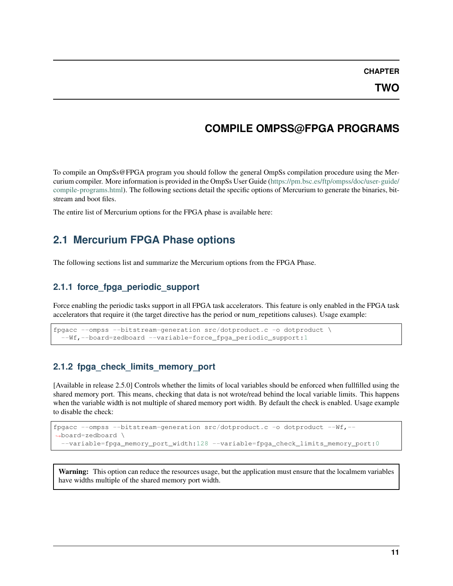**CHAPTER**

# **COMPILE OMPSS@FPGA PROGRAMS**

<span id="page-14-4"></span><span id="page-14-0"></span>To compile an OmpSs@FPGA program you should follow the general OmpSs compilation procedure using the Mercurium compiler. More information is provided in the OmpSs User Guide [\(https://pm.bsc.es/ftp/ompss/doc/user-guide/](https://pm.bsc.es/ftp/ompss/doc/user-guide/compile-programs.html) [compile-programs.html\)](https://pm.bsc.es/ftp/ompss/doc/user-guide/compile-programs.html). The following sections detail the specific options of Mercurium to generate the binaries, bitstream and boot files.

The entire list of Mercurium options for the FPGA phase is available here:

# <span id="page-14-1"></span>**2.1 Mercurium FPGA Phase options**

The following sections list and summarize the Mercurium options from the FPGA Phase.

### <span id="page-14-2"></span>**2.1.1 force\_fpga\_periodic\_support**

Force enabling the periodic tasks support in all FPGA task accelerators. This feature is only enabled in the FPGA task accelerators that require it (the target directive has the period or num\_repetitions caluses). Usage example:

```
fpgacc --ompss --bitstream-generation src/dotproduct.c -o dotproduct \
  --Wf,--board=zedboard --variable=force_fpga_periodic_support:1
```
### <span id="page-14-3"></span>**2.1.2 fpga\_check\_limits\_memory\_port**

[Available in release 2.5.0] Controls whether the limits of local variables should be enforced when fullfilled using the shared memory port. This means, checking that data is not wrote/read behind the local variable limits. This happens when the variable width is not multiple of shared memory port width. By default the check is enabled. Usage example to disable the check:

```
fpgacc --ompss --bitstream-generation src/dotproduct.c -o dotproduct --Wf,--
˓→board=zedboard \
  --variable=fpga_memory_port_width:128 --variable=fpga_check_limits_memory_port:0
```
Warning: This option can reduce the resources usage, but the application must ensure that the localmem variables have widths multiple of the shared memory port width.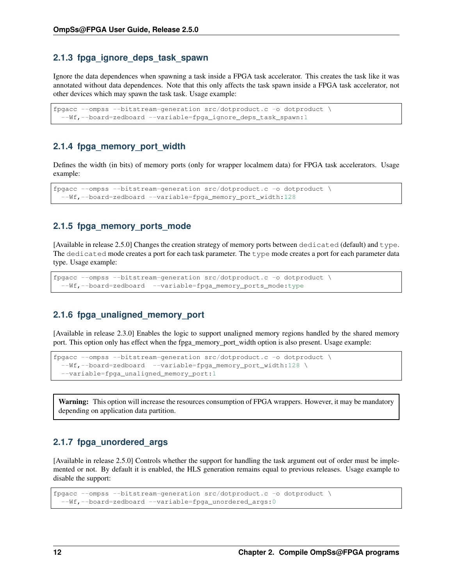### <span id="page-15-0"></span>**2.1.3 fpga\_ignore\_deps\_task\_spawn**

Ignore the data dependences when spawning a task inside a FPGA task accelerator. This creates the task like it was annotated without data dependences. Note that this only affects the task spawn inside a FPGA task accelerator, not other devices which may spawn the task task. Usage example:

```
fpgacc --ompss --bitstream-generation src/dotproduct.c -o dotproduct \
  --Wf,--board=zedboard --variable=fpga_ignore_deps_task_spawn:1
```
### <span id="page-15-1"></span>**2.1.4 fpga\_memory\_port\_width**

Defines the width (in bits) of memory ports (only for wrapper localmem data) for FPGA task accelerators. Usage example:

```
fpgacc --ompss --bitstream-generation src/dotproduct.c -o dotproduct \
 --Wf,--board=zedboard --variable=fpga_memory_port_width:128
```
### <span id="page-15-2"></span>**2.1.5 fpga\_memory\_ports\_mode**

[Available in release 2.5.0] Changes the creation strategy of memory ports between dedicated (default) and type. The dedicated mode creates a port for each task parameter. The type mode creates a port for each parameter data type. Usage example:

```
fpgacc --ompss --bitstream-generation src/dotproduct.c -o dotproduct \
  --Wf,--board=zedboard --variable=fpga_memory_ports_mode:type
```
### <span id="page-15-3"></span>**2.1.6 fpga\_unaligned\_memory\_port**

[Available in release 2.3.0] Enables the logic to support unaligned memory regions handled by the shared memory port. This option only has effect when the fpga\_memory\_port\_width option is also present. Usage example:

```
fpgacc --ompss --bitstream-generation src/dotproduct.c -o dotproduct \
  --Wf,--board=zedboard --variable=fpga_memory_port_width:128 \
  --variable=fpga_unaligned_memory_port:1
```
Warning: This option will increase the resources consumption of FPGA wrappers. However, it may be mandatory depending on application data partition.

### <span id="page-15-4"></span>**2.1.7 fpga\_unordered\_args**

[Available in release 2.5.0] Controls whether the support for handling the task argument out of order must be implemented or not. By default it is enabled, the HLS generation remains equal to previous releases. Usage example to disable the support:

```
fpgacc --ompss --bitstream-generation src/dotproduct.c -o dotproduct \
  --Wf,--board=zedboard --variable=fpga_unordered_args:0
```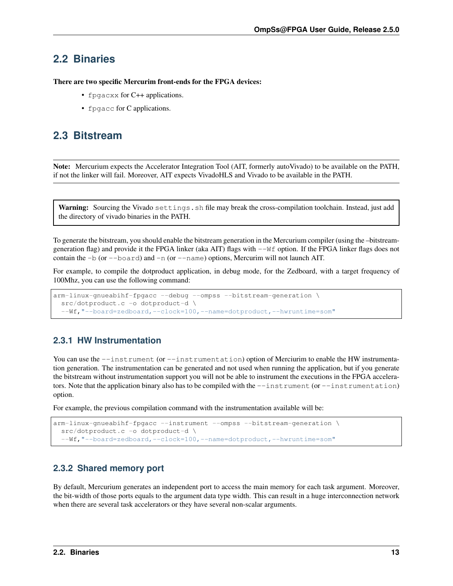# <span id="page-16-0"></span>**2.2 Binaries**

There are two specific Mercurim front-ends for the FPGA devices:

- fpgacxx for C++ applications.
- fpgacc for C applications.

# <span id="page-16-1"></span>**2.3 Bitstream**

Note: Mercurium expects the Accelerator Integration Tool (AIT, formerly autoVivado) to be available on the PATH, if not the linker will fail. Moreover, AIT expects VivadoHLS and Vivado to be available in the PATH.

Warning: Sourcing the Vivado settings.sh file may break the cross-compilation toolchain. Instead, just add the directory of vivado binaries in the PATH.

To generate the bitstream, you should enable the bitstream generation in the Mercurium compiler (using the –bitstreamgeneration flag) and provide it the FPGA linker (aka AIT) flags with  $-\nu \in \mathbb{R}$  option. If the FPGA linker flags does not contain the  $-b$  (or  $-b$  oard) and  $-n$  (or  $-c$ name) options, Mercurim will not launch AIT.

For example, to compile the dotproduct application, in debug mode, for the Zedboard, with a target frequency of 100Mhz, you can use the following command:

```
arm-linux-gnueabihf-fpgacc --debug --ompss --bitstream-generation \
 src/dotproduct.c -o dotproduct-d \
  --Wf,"--board=zedboard,--clock=100,--name=dotproduct,--hwruntime=som"
```
### <span id="page-16-2"></span>**2.3.1 HW Instrumentation**

You can use the  $--instrument$  (or  $--instrumentation$ ) option of Merciurim to enable the HW instrumentation generation. The instrumentation can be generated and not used when running the application, but if you generate the bitstream without instrumentation support you will not be able to instrument the executions in the FPGA accelerators. Note that the application binary also has to be compiled with the  $-$ -instrument (or  $-$ instrumentation) option.

For example, the previous compilation command with the instrumentation available will be:

```
arm-linux-gnueabihf-fpgacc --instrument --ompss --bitstream-generation \
 src/dotproduct.c -o dotproduct-d \
  --Wf,"--board=zedboard,--clock=100,--name=dotproduct,--hwruntime=som"
```
### <span id="page-16-3"></span>**2.3.2 Shared memory port**

By default, Mercurium generates an independent port to access the main memory for each task argument. Moreover, the bit-width of those ports equals to the argument data type width. This can result in a huge interconnection network when there are several task accelerators or they have several non-scalar arguments.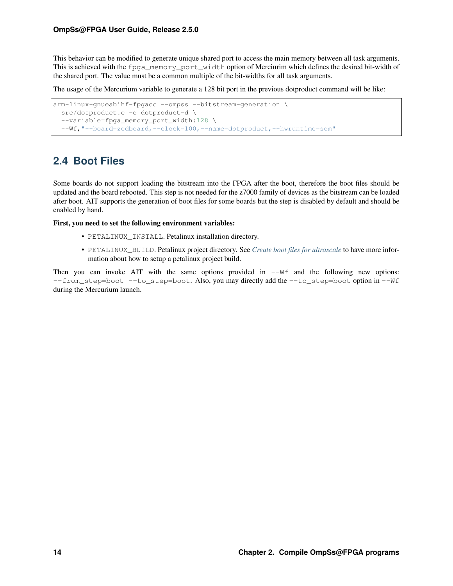<span id="page-17-1"></span>This behavior can be modified to generate unique shared port to access the main memory between all task arguments. This is achieved with the fpga\_memory\_port\_width option of Merciurim which defines the desired bit-width of the shared port. The value must be a common multiple of the bit-widths for all task arguments.

The usage of the Mercurium variable to generate a 128 bit port in the previous dotproduct command will be like:

```
arm-linux-gnueabihf-fpgacc --ompss --bitstream-generation \
 src/dotproduct.c -o dotproduct-d \
 --variable=fpga_memory_port_width:128 \
  --Wf,"--board=zedboard,--clock=100,--name=dotproduct,--hwruntime=som"
```
# <span id="page-17-0"></span>**2.4 Boot Files**

Some boards do not support loading the bitstream into the FPGA after the boot, therefore the boot files should be updated and the board rebooted. This step is not needed for the z7000 family of devices as the bitstream can be loaded after boot. AIT supports the generation of boot files for some boards but the step is disabled by default and should be enabled by hand.

First, you need to set the following environment variables:

- PETALINUX\_INSTALL. Petalinux installation directory.
- PETALINUX\_BUILD. Petalinux project directory. See *[Create boot files for ultrascale](#page-20-0)* to have more information about how to setup a petalinux project build.

Then you can invoke AIT with the same options provided in  $-\forall f$  and the following new options: --from\_step=boot --to\_step=boot. Also, you may directly add the --to\_step=boot option in --Wf during the Mercurium launch.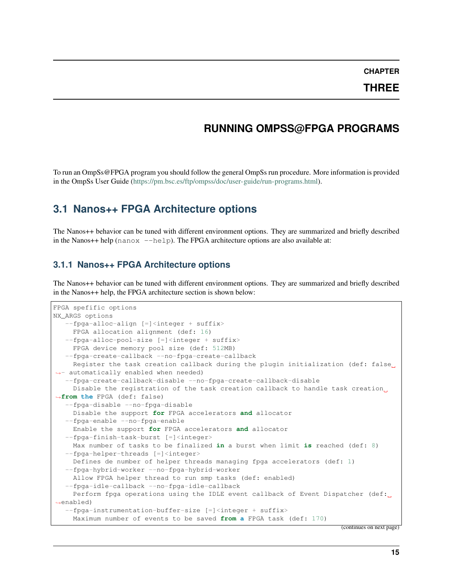**CHAPTER**

**THREE**

# **RUNNING OMPSS@FPGA PROGRAMS**

<span id="page-18-3"></span><span id="page-18-0"></span>To run an OmpSs@FPGA program you should follow the general OmpSs run procedure. More information is provided in the OmpSs User Guide [\(https://pm.bsc.es/ftp/ompss/doc/user-guide/run-programs.html\)](https://pm.bsc.es/ftp/ompss/doc/user-guide/run-programs.html).

# <span id="page-18-1"></span>**3.1 Nanos++ FPGA Architecture options**

The Nanos++ behavior can be tuned with different environment options. They are summarized and briefly described in the Nanos++ help  $(nan \alpha x - -h \neq p)$ . The FPGA architecture options are also available at:

### <span id="page-18-2"></span>**3.1.1 Nanos++ FPGA Architecture options**

The Nanos++ behavior can be tuned with different environment options. They are summarized and briefly described in the Nanos++ help, the FPGA architecture section is shown below:

```
FPGA spefific options
NX_ARGS options
   --fpga-alloc-align [=]<integer + suffix>
    FPGA allocation alignment (def: 16)
  --fpga-alloc-pool-size [=]<integer + suffix>
    FPGA device memory pool size (def: 512MB)
   --fpga-create-callback --no-fpga-create-callback
    Register the task creation callback during the plugin initialization (def: false
\rightarrow- automatically enabled when needed)
   --fpga-create-callback-disable --no-fpga-create-callback-disable
    Disable the registration of the task creation callback to handle task creation.
˓→from the FPGA (def: false)
   --fpga-disable --no-fpga-disable
    Disable the support for FPGA accelerators and allocator
  --fpga-enable --no-fpga-enable
    Enable the support for FPGA accelerators and allocator
  --fpga-finish-task-burst [=]<integer>
    Max number of tasks to be finalized in a burst when limit is reached (def: 8)
  --fpga-helper-threads [=]<integer>
    Defines de number of helper threads managing fpga accelerators (def: 1)
  --fpga-hybrid-worker --no-fpga-hybrid-worker
    Allow FPGA helper thread to run smp tasks (def: enabled)
   --fpga-idle-callback --no-fpga-idle-callback
    Perform fpga operations using the IDLE event callback of Event Dispatcher (def:
˓→enabled)
   --fpa-instrumentation-buffer-size [=]<integer + suffix>
    Maximum number of events to be saved from a FPGA task (def: 170)
```
(continues on next page)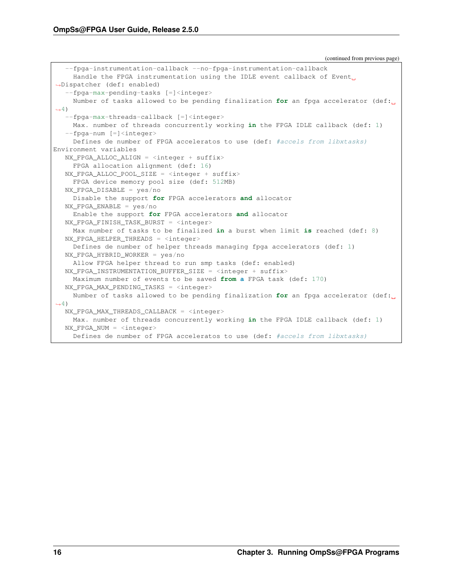(continued from previous page)

```
--fpga-instrumentation-callback --no-fpga-instrumentation-callback
     Handle the FPGA instrumentation using the IDLE event callback of Event
˓→Dispatcher (def: enabled)
   --fpga-max-pending-tasks [=]<integer>
    Number of tasks allowed to be pending finalization for an fpga accelerator (def:
\rightarrow4)
   --fpga-max-threads-callback [=]<integer>
    Max. number of threads concurrently working in the FPGA IDLE callback (def: 1)
   --fpga-num [=]<integer>
    Defines de number of FPGA acceleratos to use (def: #accels from libxtasks)
Environment variables
  NX_FPGA_ALLOC_ALIGN = <integer + suffix>
    FPGA allocation alignment (def: 16)
  NX_FPGA_ALLOC_POOL_SIZE = \langleinteger + suffix>
    FPGA device memory pool size (def: 512MB)
  NX_FPGA_DISABLE = yes/no
    Disable the support for FPGA accelerators and allocator
  NX_FPGA_ENABLE = yes/no
     Enable the support for FPGA accelerators and allocator
  NX_FPGA_FINISH_TASK_BURST = <integer>
    Max number of tasks to be finalized in a burst when limit is reached (def: 8)
  NX_FPGA_HELPER_THREADS = <integer>
    Defines de number of helper threads managing fpga accelerators (def: 1)
  NX_FPGA_HYBRID_WORKER = yes/no
    Allow FPGA helper thread to run smp tasks (def: enabled)
  NX_FPGA_INSTRUMENTATION_BUFFER_SIZE = <integer + suffix>
    Maximum number of events to be saved from a FPGA task (def: 170)
  NX FPGA MAX PENDING TASKS = \langleinteger>
    Number of tasks allowed to be pending finalization for an fpga accelerator (def:
\leftrightarrow4)
  NX_FPGA_MAX_THREADS_CALLBACK = <integer>
     Max. number of threads concurrently working in the FPGA IDLE callback (def: 1)
  NX_FPGA_NUM = <integer>
    Defines de number of FPGA acceleratos to use (def: #accels from libxtasks)
```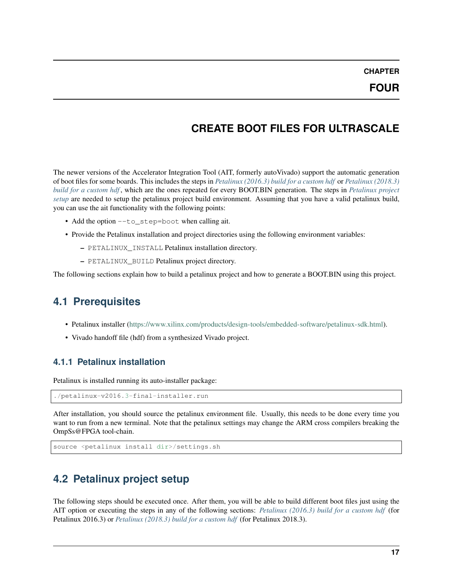**CHAPTER**

# **CREATE BOOT FILES FOR ULTRASCALE**

<span id="page-20-0"></span>The newer versions of the Accelerator Integration Tool (AIT, formerly autoVivado) support the automatic generation of boot files for some boards. This includes the steps in *[Petalinux \(2016.3\) build for a custom hdf](#page-23-0)* or *[Petalinux \(2018.3\)](#page-24-2) [build for a custom hdf](#page-24-2)* , which are the ones repeated for every BOOT.BIN generation. The steps in *[Petalinux project](#page-20-3) [setup](#page-20-3)* are needed to setup the petalinux project build environment. Assuming that you have a valid petalinux build, you can use the ait functionality with the following points:

- Add the option --to\_step=boot when calling ait.
- Provide the Petalinux installation and project directories using the following environment variables:
	- PETALINUX\_INSTALL Petalinux installation directory.
	- PETALINUX\_BUILD Petalinux project directory.

The following sections explain how to build a petalinux project and how to generate a BOOT.BIN using this project.

# <span id="page-20-1"></span>**4.1 Prerequisites**

- Petalinux installer [\(https://www.xilinx.com/products/design-tools/embedded-software/petalinux-sdk.html\)](https://www.xilinx.com/products/design-tools/embedded-software/petalinux-sdk.html).
- Vivado handoff file (hdf) from a synthesized Vivado project.

### <span id="page-20-2"></span>**4.1.1 Petalinux installation**

Petalinux is installed running its auto-installer package:

```
./petalinux-v2016.3-final-installer.run
```
After installation, you should source the petalinux environment file. Usually, this needs to be done every time you want to run from a new terminal. Note that the petalinux settings may change the ARM cross compilers breaking the OmpSs@FPGA tool-chain.

```
source <petalinux install dir>/settings.sh
```
# <span id="page-20-3"></span>**4.2 Petalinux project setup**

The following steps should be executed once. After them, you will be able to build different boot files just using the AIT option or executing the steps in any of the following sections: *[Petalinux \(2016.3\) build for a custom hdf](#page-23-0)* (for Petalinux 2016.3) or *[Petalinux \(2018.3\) build for a custom hdf](#page-24-2)* (for Petalinux 2018.3).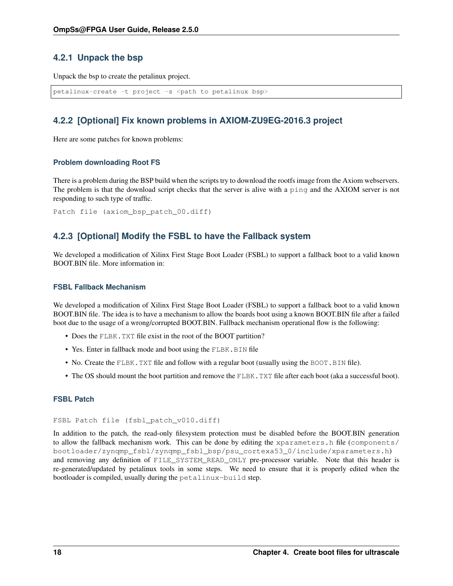### <span id="page-21-3"></span><span id="page-21-0"></span>**4.2.1 Unpack the bsp**

Unpack the bsp to create the petalinux project.

```
petalinux-create -t project -s <path to petalinux bsp>
```
### <span id="page-21-1"></span>**4.2.2 [Optional] Fix known problems in AXIOM-ZU9EG-2016.3 project**

Here are some patches for known problems:

#### **Problem downloading Root FS**

There is a problem during the BSP build when the scripts try to download the rootfs image from the Axiom webservers. The problem is that the download script checks that the server is alive with a ping and the AXIOM server is not responding to such type of traffic.

Patch file (axiom\_bsp\_patch\_00.diff)

### <span id="page-21-2"></span>**4.2.3 [Optional] Modify the FSBL to have the Fallback system**

We developed a modification of Xilinx First Stage Boot Loader (FSBL) to support a fallback boot to a valid known BOOT.BIN file. More information in:

#### **FSBL Fallback Mechanism**

We developed a modification of Xilinx First Stage Boot Loader (FSBL) to support a fallback boot to a valid known BOOT.BIN file. The idea is to have a mechanism to allow the boards boot using a known BOOT.BIN file after a failed boot due to the usage of a wrong/corrupted BOOT.BIN. Fallback mechanism operational flow is the following:

- Does the FLBK. TXT file exist in the root of the BOOT partition?
- Yes. Enter in fallback mode and boot using the FLBK. BIN file
- No. Create the FLBK. TXT file and follow with a regular boot (usually using the BOOT. BIN file).
- The OS should mount the boot partition and remove the FLBK. TXT file after each boot (aka a successful boot).

#### **FSBL Patch**

#### FSBL Patch file (fsbl\_patch\_v010.diff)

In addition to the patch, the read-only filesystem protection must be disabled before the BOOT.BIN generation to allow the fallback mechanism work. This can be done by editing the xparameters.h file (components/ bootloader/zynqmp\_fsbl/zynqmp\_fsbl\_bsp/psu\_cortexa53\_0/include/xparameters.h) and removing any definition of FILE\_SYSTEM\_READ\_ONLY pre-processor variable. Note that this header is re-generated/updated by petalinux tools in some steps. We need to ensure that it is properly edited when the bootloader is compiled, usually during the petalinux-build step.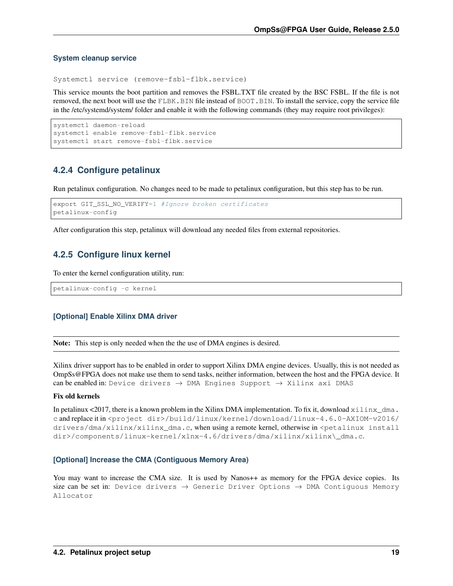#### **System cleanup service**

Systemctl service (remove-fsbl-flbk.service)

This service mounts the boot partition and removes the FSBL.TXT file created by the BSC FSBL. If the file is not removed, the next boot will use the FLBK.BIN file instead of BOOT.BIN. To install the service, copy the service file in the /etc/systemd/system/ folder and enable it with the following commands (they may require root privileges):

```
systemctl daemon-reload
systemctl enable remove-fsbl-flbk.service
systemctl start remove-fsbl-flbk.service
```
### <span id="page-22-0"></span>**4.2.4 Configure petalinux**

Run petalinux configuration. No changes need to be made to petalinux configuration, but this step has to be run.

```
export GIT_SSL_NO_VERIFY=1 #Ignore broken certificates
petalinux-config
```
After configuration this step, petalinux will download any needed files from external repositories.

### <span id="page-22-1"></span>**4.2.5 Configure linux kernel**

To enter the kernel configuration utility, run:

petalinux-config -c kernel

#### **[Optional] Enable Xilinx DMA driver**

Note: This step is only needed when the the use of DMA engines is desired.

Xilinx driver support has to be enabled in order to support Xilinx DMA engine devices. Usually, this is not needed as OmpSs@FPGA does not make use them to send tasks, neither information, between the host and the FPGA device. It can be enabled in: Device drivers  $\rightarrow$  DMA Engines Support  $\rightarrow$  Xilinx axi DMAS

#### Fix old kernels

In petalinux <2017, there is a known problem in the Xilinx DMA implementation. To fix it, download  $x \perp \ln x_{\text{max}}$ . c and replace it in <project dir>/build/linux/kernel/download/linux-4.6.0-AXIOM-v2016/ drivers/dma/xilinx/xilinx\_dma.c, when using a remote kernel, otherwise in <petalinux install dir>/components/linux-kernel/xlnx-4.6/drivers/dma/xilinx/xilinx\\_dma.c.

#### **[Optional] Increase the CMA (Contiguous Memory Area)**

You may want to increase the CMA size. It is used by Nanos<sup>++</sup> as memory for the FPGA device copies. Its size can be set in: Device drivers  $\rightarrow$  Generic Driver Options  $\rightarrow$  DMA Contiguous Memory Allocator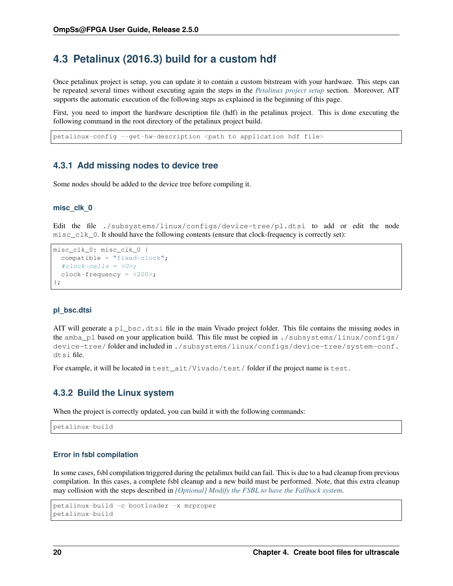# <span id="page-23-0"></span>**4.3 Petalinux (2016.3) build for a custom hdf**

Once petalinux project is setup, you can update it to contain a custom bitstream with your hardware. This steps can be repeated several times without executing again the steps in the *[Petalinux project setup](#page-20-3)* section. Moreover, AIT supports the automatic execution of the following steps as explained in the beginning of this page.

First, you need to import the hardware description file (hdf) in the petalinux project. This is done executing the following command in the root directory of the petalinux project build.

petalinux-config --get-hw-description <path to application hdf file>

### <span id="page-23-1"></span>**4.3.1 Add missing nodes to device tree**

Some nodes should be added to the device tree before compiling it.

#### **misc\_clk\_0**

Edit the file ./subsystems/linux/configs/device-tree/pl.dtsi to add or edit the node  $misc_clk_0$ . It should have the following contents (ensure that clock-frequency is correctly set):

```
misc_clk_0: misc_clk_0 {
  compatible = "fixed-clock";
  #clock-cells = <0>;
  clock-frequency = <200>;
};
```
#### **pl\_bsc.dtsi**

AIT will generate a pl\_bsc.dtsi file in the main Vivado project folder. This file contains the missing nodes in the amba\_pl based on your application build. This file must be copied in ./subsystems/linux/configs/ device-tree/ folder and included in ./subsystems/linux/configs/device-tree/system-conf. dtsi file.

For example, it will be located in test\_ait/Vivado/test/ folder if the project name is test.

### <span id="page-23-2"></span>**4.3.2 Build the Linux system**

When the project is correctly updated, you can build it with the following commands:

petalinux-build

#### **Error in fsbl compilation**

In some cases, fsbl compilation triggered during the petalinux build can fail. This is due to a bad cleanup from previous compilation. In this cases, a complete fsbl cleanup and a new build must be performed. Note, that this extra cleanup may collision with the steps described in *[\[Optional\] Modify the FSBL to have the Fallback system](#page-21-2)*.

```
petalinux-build -c bootloader -x mrproper
petalinux-build
```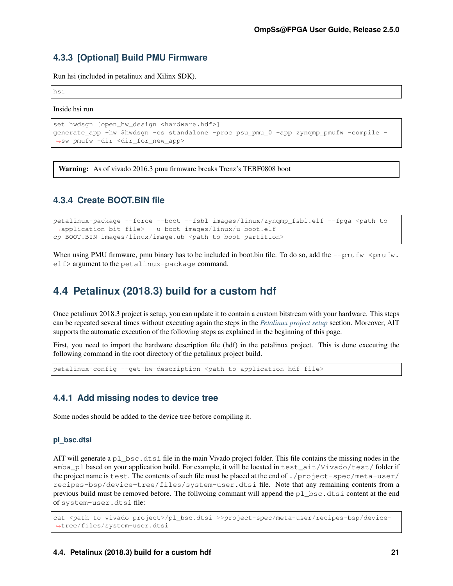### <span id="page-24-0"></span>**4.3.3 [Optional] Build PMU Firmware**

Run hsi (included in petalinux and Xilinx SDK).

hsi

Inside hsi run

```
set hwdsgn [open_hw_design <hardware.hdf>]
generate_app -hw $hwdsgn -os standalone -proc psu_pmu_0 -app zynqmp_pmufw -compile -
˓→sw pmufw -dir <dir_for_new_app>
```
**Warning:** As of vivado 2016.3 pmu firmware breaks Trenz's TEBF0808 boot

### <span id="page-24-1"></span>**4.3.4 Create BOOT.BIN file**

petalinux-package --force --boot --fsbl images/linux/zynqmp\_fsbl.elf --fpga <path to\_ ˓<sup>→</sup>application bit file> --u-boot images/linux/u-boot.elf cp BOOT.BIN images/linux/image.ub <path to boot partition>

When using PMU firmware, pmu binary has to be included in boot.bin file. To do so, add the  $-\text{pmufw}$  <pmufw. elf> argument to the petalinux-package command.

# <span id="page-24-2"></span>**4.4 Petalinux (2018.3) build for a custom hdf**

Once petalinux 2018.3 project is setup, you can update it to contain a custom bitstream with your hardware. This steps can be repeated several times without executing again the steps in the *[Petalinux project setup](#page-20-3)* section. Moreover, AIT supports the automatic execution of the following steps as explained in the beginning of this page.

First, you need to import the hardware description file (hdf) in the petalinux project. This is done executing the following command in the root directory of the petalinux project build.

petalinux-config --get-hw-description <path to application hdf file>

### <span id="page-24-3"></span>**4.4.1 Add missing nodes to device tree**

Some nodes should be added to the device tree before compiling it.

#### **pl\_bsc.dtsi**

AIT will generate a  $p_1$  bsc.dtsi file in the main Vivado project folder. This file contains the missing nodes in the amba\_pl based on your application build. For example, it will be located in test\_ait/Vivado/test/ folder if the project name is test. The contents of such file must be placed at the end of ./project-spec/meta-user/ recipes-bsp/device-tree/files/system-user.dtsi file. Note that any remaining contents from a previous build must be removed before. The follwoing commant will append the pl\_bsc.dtsi content at the end of system-user.dtsi file:

cat <path to vivado project>/pl\_bsc.dtsi >>project-spec/meta-user/recipes-bsp/device- ˓<sup>→</sup>tree/files/system-user.dtsi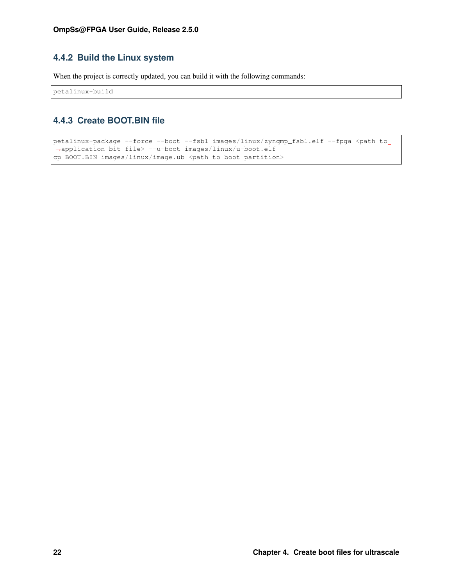### <span id="page-25-2"></span><span id="page-25-0"></span>**4.4.2 Build the Linux system**

When the project is correctly updated, you can build it with the following commands:

petalinux-build

### <span id="page-25-1"></span>**4.4.3 Create BOOT.BIN file**

```
petalinux-package --force --boot --fsbl images/linux/zynqmp_fsbl.elf --fpga <path to
˓→application bit file> --u-boot images/linux/u-boot.elf
cp BOOT.BIN images/linux/image.ub <path to boot partition>
```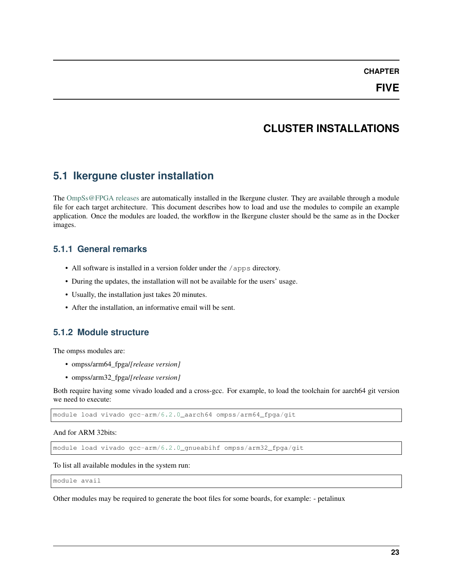### **CHAPTER**

# **CLUSTER INSTALLATIONS**

# <span id="page-26-4"></span><span id="page-26-1"></span><span id="page-26-0"></span>**5.1 Ikergune cluster installation**

The [OmpSs@FPGA releases](https://pm.bsc.es/gitlab/ompss-at-fpga/ompss-at-fpga-releases) are automatically installed in the Ikergune cluster. They are available through a module file for each target architecture. This document describes how to load and use the modules to compile an example application. Once the modules are loaded, the workflow in the Ikergune cluster should be the same as in the Docker images.

### <span id="page-26-2"></span>**5.1.1 General remarks**

- All software is installed in a version folder under the /apps directory.
- During the updates, the installation will not be available for the users' usage.
- Usually, the installation just takes 20 minutes.
- After the installation, an informative email will be sent.

# <span id="page-26-3"></span>**5.1.2 Module structure**

The ompss modules are:

- ompss/arm64\_fpga/*[release version]*
- ompss/arm32\_fpga/*[release version]*

Both require having some vivado loaded and a cross-gcc. For example, to load the toolchain for aarch64 git version we need to execute:

module load vivado gcc-arm/6.2.0\_aarch64 ompss/arm64\_fpga/git

And for ARM 32bits:

module load vivado gcc-arm/6.2.0\_gnueabihf ompss/arm32\_fpga/git

To list all available modules in the system run:

module avail

Other modules may be required to generate the boot files for some boards, for example: - petalinux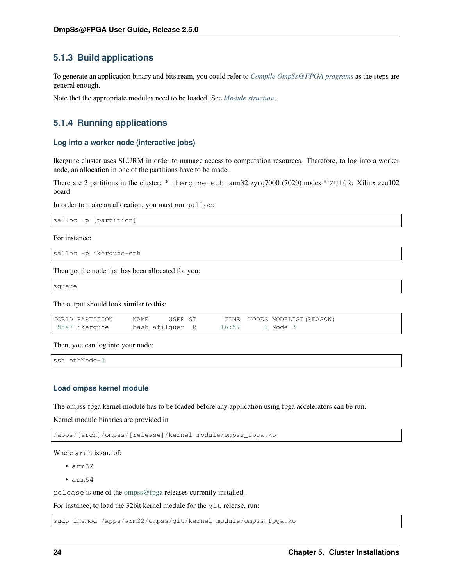### <span id="page-27-0"></span>**5.1.3 Build applications**

To generate an application binary and bitstream, you could refer to *[Compile OmpSs@FPGA programs](#page-14-0)* as the steps are general enough.

Note thet the appropriate modules need to be loaded. See *[Module structure](#page-26-3)*.

### <span id="page-27-1"></span>**5.1.4 Running applications**

#### **Log into a worker node (interactive jobs)**

Ikergune cluster uses SLURM in order to manage access to computation resources. Therefore, to log into a worker node, an allocation in one of the partitions have to be made.

There are 2 partitions in the cluster: \* ikergune-eth: arm32 zynq7000 (7020) nodes \* ZU102: Xilinx zcu102 board

In order to make an allocation, you must run salloc:

```
salloc -p [partition]
```
For instance:

```
salloc -p ikergune-eth
```
Then get the node that has been allocated for you:

squeue

The output should look similar to this:

| JOBID PARTITION | NAME.           | USER ST |                | TIME NODES NODELIST (REASON) |
|-----------------|-----------------|---------|----------------|------------------------------|
| 8547 ikergune-  | bash afilguer R |         | 16:57 1 Node-3 |                              |

Then, you can log into your node:

ssh ethNode-3

#### **Load ompss kernel module**

The ompss-fpga kernel module has to be loaded before any application using fpga accelerators can be run.

Kernel module binaries are provided in

/apps/[arch]/ompss/[release]/kernel-module/ompss\_fpga.ko

Where arch is one of:

- arm32
- arm64

release is one of the [ompss@fpga](mailto:ompss@fpga) releases currently installed.

For instance, to load the 32bit kernel module for the git release, run:

sudo insmod /apps/arm32/ompss/git/kernel-module/ompss\_fpga.ko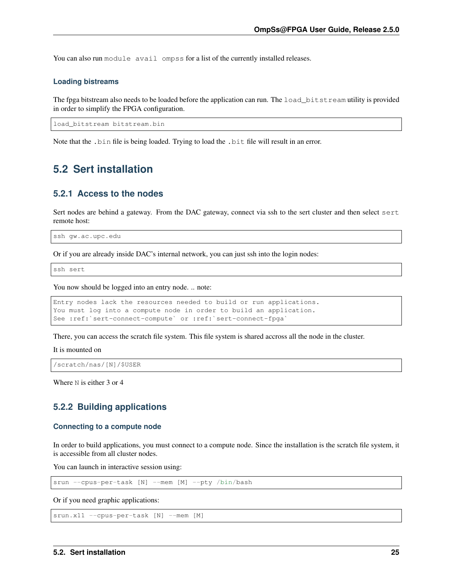<span id="page-28-3"></span>You can also run module avail ompss for a list of the currently installed releases.

#### **Loading bistreams**

The fpga bitstream also needs to be loaded before the application can run. The load\_bitstream utility is provided in order to simplify the FPGA configuration.

load\_bitstream bitstream.bin

Note that the .bin file is being loaded. Trying to load the .bit file will result in an error.

# <span id="page-28-0"></span>**5.2 Sert installation**

### <span id="page-28-1"></span>**5.2.1 Access to the nodes**

Sert nodes are behind a gateway. From the DAC gateway, connect via ssh to the sert cluster and then select sert remote host:

```
ssh gw.ac.upc.edu
```
Or if you are already inside DAC's internal network, you can just ssh into the login nodes:

ssh sert

You now should be logged into an entry node. .. note:

```
Entry nodes lack the resources needed to build or run applications.
You must log into a compute node in order to build an application.
See :ref:`sert-connect-compute` or :ref:`sert-connect-fpga`
```
There, you can access the scratch file system. This file system is shared accross all the node in the cluster.

It is mounted on

/scratch/nas/[N]/\$USER

Where N is either 3 or 4

### <span id="page-28-2"></span>**5.2.2 Building applications**

#### **Connecting to a compute node**

In order to build applications, you must connect to a compute node. Since the installation is the scratch file system, it is accessible from all cluster nodes.

You can launch in interactive session using:

srun --cpus-per-task [N] --mem [M] --pty /bin/bash

Or if you need graphic applications:

srun.x11 --cpus-per-task [N] --mem [M]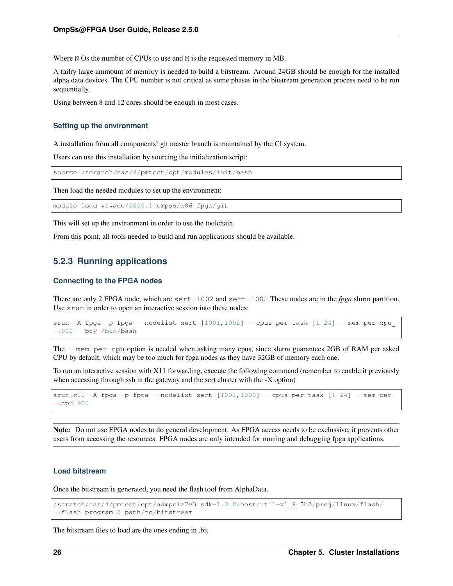Where N Os the number of CPUs to use and M is the requested memory in MB.

A failry large ammount of memory is needed to build a bitstream. Around 24GB should be enough for the installed alpha data devices. The CPU number is not critical as some phases in the bitstream generation process need to be run sequentially.

Using between 8 and 12 cores should be enough in most cases.

#### **Setting up the environment**

A installation from all components' git master branch is maintained by the CI system.

Users can use this installation by sourcing the initialization script:

source /scratch/nas/4/pmtest/opt/modules/init/bash

Then load the needed modules to set up the environment:

module load vivado/2020.1 ompss/x86\_fpga/git

This will set up the environment in order to use the toolchain.

From this point, all tools needed to build and run applications should be available.

### <span id="page-29-0"></span>**5.2.3 Running applications**

#### **Connecting to the FPGA nodes**

There are only 2 FPGA node, which are sert-1002 and sert-1002 These nodes are in the *fpga* slurm partition. Use srun in order to open an interactive session into these nodes:

```
srun -A fpga -p fpga --nodelist sert-[1001,1002] --cpus-per-task [1-24] --mem-per-cpu
˓→900 --pty /bin/bash
```
The --mem-per-cpu option is needed when asking many cpus, since slurm guarantees 2GB of RAM per asked CPU by default, which may be too much for fpga nodes as they have 32GB of memory each one.

To run an interactive session with X11 forwarding, execute the following command (remember to enable it previously when accessing through ssh in the gateway and the sert cluster with the -X option)

```
srun.x11 -A fpga -p fpga --nodelist sert-[1001,1002] --cpus-per-task [1-24] --mem-per-
˓→cpu 900
```
Note: Do not use FPGA nodes to do general development. As FPGA access needs to be exclussive, it prevents other users from accessing the resources. FPGA nodes are only intended for running and debugging fpga applications.

#### **Load bitstream**

Once the bitstream is generated, you need the flash tool from AlphaData.

```
/scratch/nas/4/pmtest/opt/admpcie7v3_sdk-1.0.0/host/util-v1_8_0b2/proj/linux/flash/
˓→flash program 0 path/to/bitstream
```
The bitstream files to load are the ones ending in .bit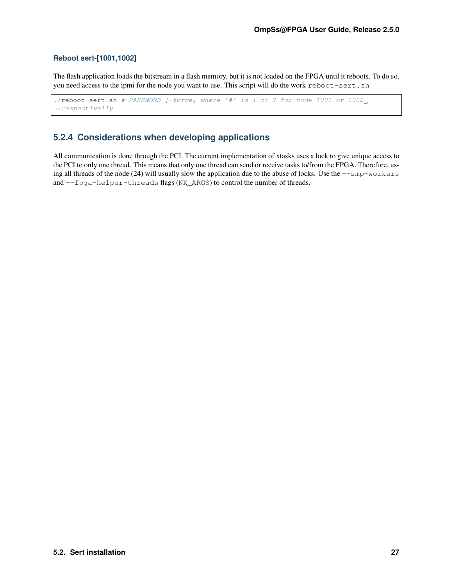#### <span id="page-30-1"></span>**Reboot sert-[1001,1002]**

The flash application loads the bitstream in a flash memory, but it is not loaded on the FPGA until it reboots. To do so, you need access to the ipmi for the node you want to use. This script will do the work reboot-sert.sh

```
./reboot-sert.sh # PASSWORD [-force] where '#' is 1 or 2 for node 1001 or 1002.
˓→respectivelly
```
### <span id="page-30-0"></span>**5.2.4 Considerations when developing applications**

All communication is done through the PCI. The current implementation of xtasks uses a lock to give unique access to the PCI to only one thread. This means that only one thread can send or receive tasks to/from the FPGA. Therefore, using all threads of the node (24) will usually slow the application due to the abuse of locks. Use the  $--$ smp-workers and --fpga-helper-threads flags (NX\_ARGS) to control the number of threads.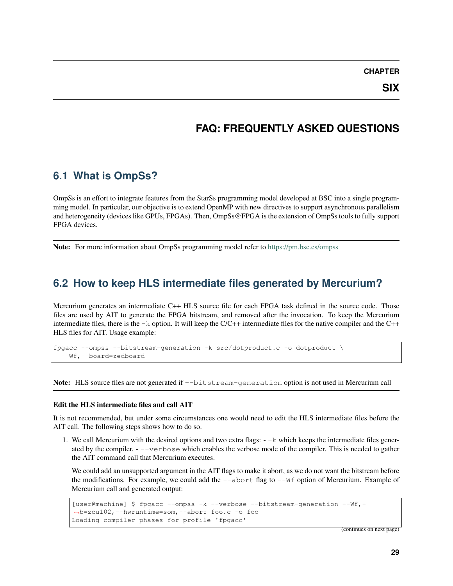**CHAPTER**

**SIX**

# **FAQ: FREQUENTLY ASKED QUESTIONS**

# <span id="page-32-3"></span><span id="page-32-1"></span><span id="page-32-0"></span>**6.1 What is OmpSs?**

OmpSs is an effort to integrate features from the StarSs programming model developed at BSC into a single programming model. In particular, our objective is to extend OpenMP with new directives to support asynchronous parallelism and heterogeneity (devices like GPUs, FPGAs). Then, OmpSs@FPGA is the extension of OmpSs tools to fully support FPGA devices.

Note: For more information about OmpSs programming model refer to <https://pm.bsc.es/ompss>

# <span id="page-32-2"></span>**6.2 How to keep HLS intermediate files generated by Mercurium?**

Mercurium generates an intermediate C++ HLS source file for each FPGA task defined in the source code. Those files are used by AIT to generate the FPGA bitstream, and removed after the invocation. To keep the Mercurium intermediate files, there is the  $-k$  option. It will keep the  $C/C++$  intermediate files for the native compiler and the  $C++$ HLS files for AIT. Usage example:

fpgacc --ompss --bitstream-generation -k src/dotproduct.c -o dotproduct \ --Wf,--board=zedboard

Note: HLS source files are not generated if  $-\text{bitstream-generation}$  option is not used in Mercurium call

#### Edit the HLS intermediate files and call AIT

It is not recommended, but under some circumstances one would need to edit the HLS intermediate files before the AIT call. The following steps shows how to do so.

1. We call Mercurium with the desired options and two extra flags:  $-\kappa$  which keeps the intermediate files generated by the compiler. - --verbose which enables the verbose mode of the compiler. This is needed to gather the AIT command call that Mercurium executes.

We could add an unsupported argument in the AIT flags to make it abort, as we do not want the bitstream before the modifications. For example, we could add the  $-$ -abort flag to  $-$ Wf option of Mercurium. Example of Mercurium call and generated output:

```
[user@machine] $ fpgacc --ompss -k --verbose --bitstream-generation --Wf,-
˓→b=zcu102,--hwruntime=som,--abort foo.c -o foo
Loading compiler phases for profile 'fpgacc'
```
(continues on next page)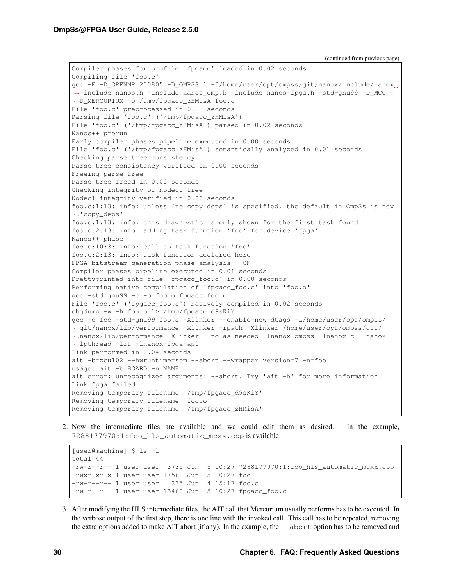Compiler phases for profile 'fpgacc' loaded in 0.02 seconds Compiling file 'foo.c' gcc -E -D\_OPENMP=200805 -D\_OMPSS=1 -I/home/user/opt/ompss/git/nanox/include/nanox ˓<sup>→</sup>-include nanos.h -include nanos\_omp.h -include nanos-fpga.h -std=gnu99 -D\_MCC - ˓<sup>→</sup>D\_MERCURIUM -o /tmp/fpgacc\_zHMisA foo.c File 'foo.c' preprocessed in 0.01 seconds Parsing file 'foo.c' ('/tmp/fpgacc\_zHMisA') File 'foo.c' ('/tmp/fpgacc\_zHMisA') parsed in 0.02 seconds Nanos++ prerun Early compiler phases pipeline executed in 0.00 seconds File 'foo.c' ('/tmp/fpgacc\_zHMisA') semantically analyzed in 0.01 seconds Checking parse tree consistency Parse tree consistency verified in 0.00 seconds Freeing parse tree Parse tree freed in 0.00 seconds Checking integrity of nodecl tree Nodecl integrity verified in 0.00 seconds foo.c:1:13: info: unless 'no\_copy\_deps' is specified, the default in OmpSs is now ˓<sup>→</sup>'copy\_deps' foo.c:1:13: info: this diagnostic is only shown for the first task found foo.c:2:13: info: adding task function 'foo' for device 'fpga' Nanos++ phase foo.c:10:3: info: call to task function 'foo' foo.c:2:13: info: task function declared here FPGA bitstream generation phase analysis - ON Compiler phases pipeline executed in 0.01 seconds Prettyprinted into file 'fpgacc\_foo.c' in 0.00 seconds Performing native compilation of 'fpgacc\_foo.c' into 'foo.o' gcc -std=gnu99 -c -o foo.o fpgacc\_foo.c File 'foo.c' ('fpgacc\_foo.c') natively compiled in 0.02 seconds objdump -w -h foo.o 1> /tmp/fpgacc\_d9sKiY gcc -o foo -std=gnu99 foo.o -Xlinker --enable-new-dtags -L/home/user/opt/ompss/ ˓<sup>→</sup>git/nanox/lib/performance -Xlinker -rpath -Xlinker /home/user/opt/ompss/git/ ˓<sup>→</sup>nanox/lib/performance -Xlinker --no-as-needed -lnanox-ompss -lnanox-c -lnanox - ˓<sup>→</sup>lpthread -lrt -lnanox-fpga-api Link performed in 0.04 seconds ait -b=zcu102 --hwruntime=som --abort --wrapper\_version=7 -n=foo usage: ait -b BOARD -n NAME ait error: unrecognized arguments: --abort. Try 'ait -h' for more information. Link fpga failed Removing temporary filename '/tmp/fpgacc\_d9sKiY' Removing temporary filename 'foo.o' Removing temporary filename '/tmp/fpgacc\_zHMisA'

2. Now the intermediate files are available and we could edit them as desired. In the example, 7288177970:1:foo\_hls\_automatic\_mcxx.cpp is available:

[user@machine] \$ ls -l total 44  $-rw-r--1$  user user 3735 Jun 5 10:27 7288177970:1:foo hls automatic mcxx.cpp -rwxr-xr-x 1 user user 17568 Jun 5 10:27 foo -rw-r--r-- 1 user user 235 Jun 4 15:17 foo.c -rw-r--r-- 1 user user 13460 Jun 5 10:27 fpgacc\_foo.c

3. After modifying the HLS intermediate files, the AIT call that Mercurium usually performs has to be executed. In the verbose output of the first step, there is one line with the invoked call. This call has to be repeated, removing the extra options added to make AIT abort (if any). In the example, the  $-\text{abort}$  option has to be removed and

(continued from previous page)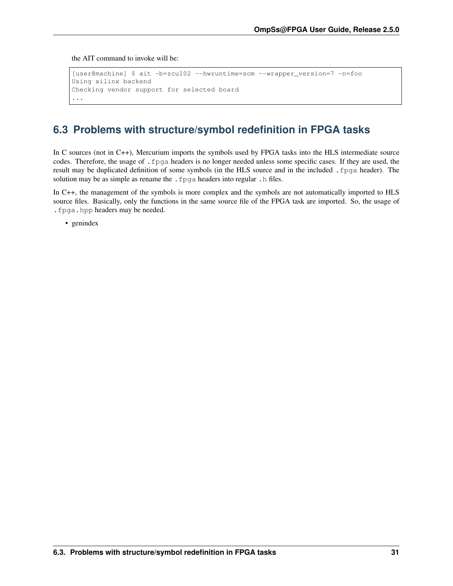<span id="page-34-1"></span>the AIT command to invoke will be:

```
[user@machine] $ ait -b=zcu102 --hwruntime=som --wrapper_version=7 -n=foo
Using xilinx backend
Checking vendor support for selected board
...
```
# <span id="page-34-0"></span>**6.3 Problems with structure/symbol redefinition in FPGA tasks**

In C sources (not in C++), Mercurium imports the symbols used by FPGA tasks into the HLS intermediate source codes. Therefore, the usage of .fpga headers is no longer needed unless some specific cases. If they are used, the result may be duplicated definition of some symbols (in the HLS source and in the included .fpga header). The solution may be as simple as rename the . fpga headers into regular . h files.

In C++, the management of the symbols is more complex and the symbols are not automatically imported to HLS source files. Basically, only the functions in the same source file of the FPGA task are imported. So, the usage of .fpga.hpp headers may be needed.

• genindex